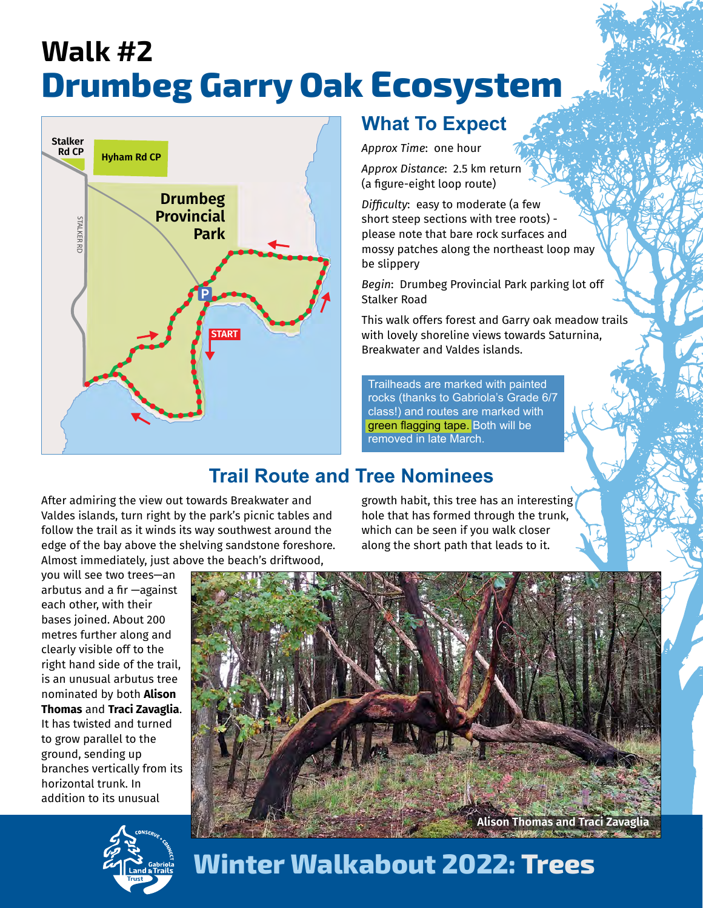## **Walk #2 Drumbeg Garry Oak Ecosystem**



## **What To Expect**

*Approx Time*: one hour

*Approx Distance*: 2.5 km return (a figure-eight loop route)

*Difficulty*: easy to moderate (a few short steep sections with tree roots) please note that bare rock surfaces and mossy patches along the northeast loop may be slippery

*Begin*: Drumbeg Provincial Park parking lot off Stalker Road

This walk offers forest and Garry oak meadow trails with lovely shoreline views towards Saturnina, Breakwater and Valdes islands.

Trailheads are marked with painted rocks (thanks to Gabriola's Grade 6/7 class!) and routes are marked with green flagging tape. Both will be removed in late March.

## **Trail Route and Tree Nominees**

After admiring the view out towards Breakwater and Valdes islands, turn right by the park's picnic tables and follow the trail as it winds its way southwest around the edge of the bay above the shelving sandstone foreshore. Almost immediately, just above the beach's driftwood,

growth habit, this tree has an interesting hole that has formed through the trunk, which can be seen if you walk closer along the short path that leads to it.







**Winter Walkabout 2022: Trees**